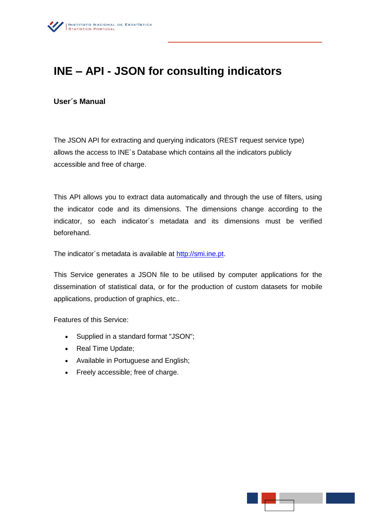

## **INE – API - JSON for consulting indicators**

## **User´s Manual**

The JSON API for extracting and querying indicators (REST request service type) allows the access to INE´s Database which contains all the indicators publicly accessible and free of charge.

This API allows you to extract data automatically and through the use of filters, using the indicator code and its dimensions. The dimensions change according to the indicator, so each indicator´s metadata and its dimensions must be verified beforehand.

The indicator's metadata is available at [http://smi.ine.pt.](http://smi.ine.pt/)

This Service generates a JSON file to be utilised by computer applications for the dissemination of statistical data, or for the production of custom datasets for mobile applications, production of graphics, etc..

Features of this Service:

- Supplied in a standard format "JSON";
- Real Time Update;
- Available in Portuguese and English;
- Freely accessible; free of charge.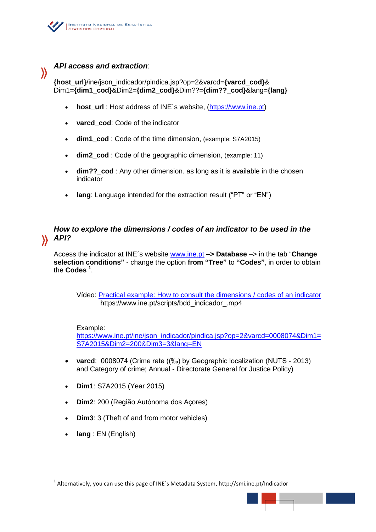

## *API access and extraction*:

 $\lambda$ 

**{host\_url}**/ine/json\_indicador/pindica.jsp?op=2&varcd=**{varcd\_cod}**& Dim1=**{dim1\_cod}**&Dim2=**{dim2\_cod}**&Dim??=**{dim??\_cod}**&lang=**{lang}**

- host\_url : Host address of INE's website, [\(https://www.ine.pt\)](https://www.ine.pt/)
- **varcd** cod: Code of the indicator
- **dim1\_cod** : Code of the time dimension, (example: S7A2015)
- **dim2\_cod** : Code of the geographic dimension, (example: 11)
- **dim??** cod : Any other dimension. as long as it is available in the chosen indicator
- **lang**: Language intended for the extraction result ("PT" or "EN")

## *How to explore the dimensions / codes of an indicator to be used in the API?*

Access the indicator at INE´s website [www.ine.pt](http://www.ine.pt/) **–> Database** –> in the tab "**Change selection conditions"** - change the option **from "Tree"** to **"Codes"**, in order to obtain the **Codes <sup>1</sup>** .

Vídeo: [Practical example: How to consult the dimensions / codes of an indicator](https://www.ine.pt/scripts/bdd_indicador_.mp4) https://www.ine.pt/scripts/bdd\_indicador\_.mp4

Example:

[https://www.ine.pt/ine/json\\_indicador/pindica.jsp?op=2&varcd=0008074&Dim1=](https://www.ine.pt/ine/json_indicador/pindica.jsp?op=2&varcd=0008074&Dim1=S7A2015&Dim2=200&Dim3=3&lang=EN) [S7A2015&Dim2=200&Dim3=3&lang=EN](https://www.ine.pt/ine/json_indicador/pindica.jsp?op=2&varcd=0008074&Dim1=S7A2015&Dim2=200&Dim3=3&lang=EN)

- **varcd**: 0008074 (Crime rate ((‰) by Geographic localization (NUTS 2013) and Category of crime; Annual - Directorate General for Justice Policy)
- **Dim1**: S7A2015 (Year 2015)
- **Dim2**: 200 (Região Autónoma dos Açores)
- **Dim3**: 3 (Theft of and from motor vehicles)
- **lang** : EN (English)

**.** 

<sup>&</sup>lt;sup>1</sup> Alternatively, you can use this page of INE's Metadata System, http://smi.ine.pt/Indicador